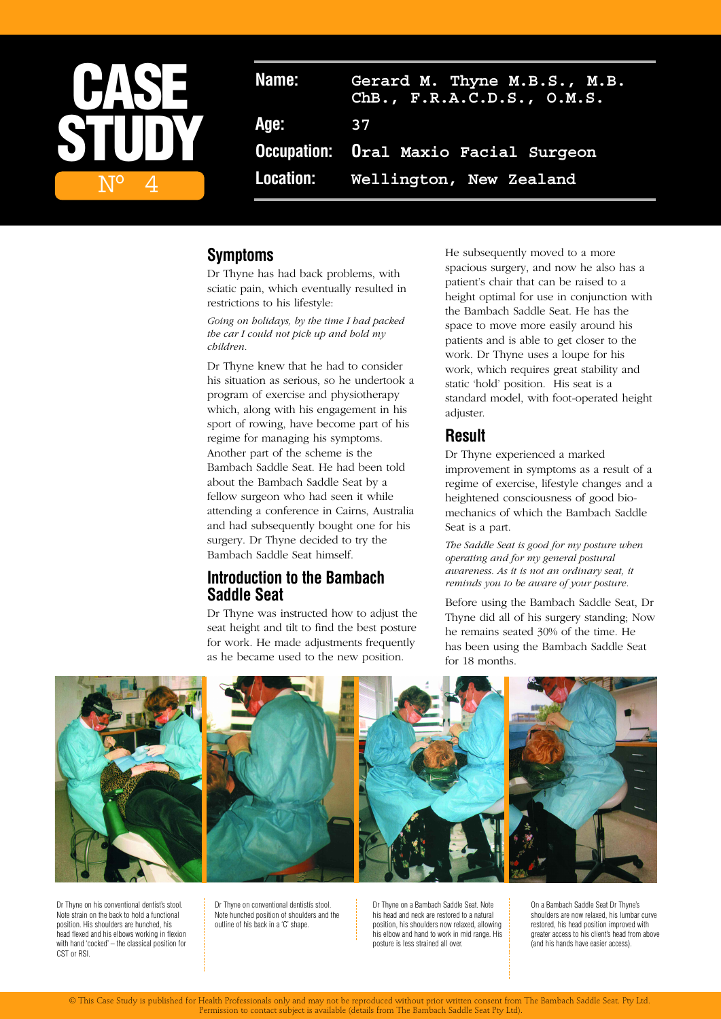

## **Symptoms**

Dr Thyne has had back problems, with sciatic pain, which eventually resulted in restrictions to his lifestyle:

*Going on holidays, by the time I had packed the car I could not pick up and hold my children.*

Dr Thyne knew that he had to consider his situation as serious, so he undertook a program of exercise and physiotherapy which, along with his engagement in his sport of rowing, have become part of his regime for managing his symptoms. Another part of the scheme is the Bambach Saddle Seat. He had been told about the Bambach Saddle Seat by a fellow surgeon who had seen it while attending a conference in Cairns, Australia and had subsequently bought one for his surgery. Dr Thyne decided to try the Bambach Saddle Seat himself.

# **Introduction to the Bambach Saddle Seat**

Dr Thyne was instructed how to adjust the seat height and tilt to find the best posture for work. He made adjustments frequently as he became used to the new position.

He subsequently moved to a more spacious surgery, and now he also has a patient's chair that can be raised to a height optimal for use in conjunction with the Bambach Saddle Seat. He has the space to move more easily around his patients and is able to get closer to the work. Dr Thyne uses a loupe for his work, which requires great stability and static 'hold' position. His seat is a standard model, with foot-operated height adjuster.

## **Result**

Dr Thyne experienced a marked improvement in symptoms as a result of a regime of exercise, lifestyle changes and a heightened consciousness of good biomechanics of which the Bambach Saddle Seat is a part.

*The Saddle Seat is good for my posture when operating and for my general postural awareness. As it is not an ordinary seat, it reminds you to be aware of your posture.*

Before using the Bambach Saddle Seat, Dr Thyne did all of his surgery standing; Now he remains seated 30% of the time. He has been using the Bambach Saddle Seat for 18 months.





Dr Thyne on his conventional dentist's stool. Note strain on the back to hold a functional position. His shoulders are hunched, his head flexed and his elbows working in flexion with hand 'cocked' – the classical position for CST or RSI.

Dr Thyne on conventional dentistís stool. Note hunched position of shoulders and the outline of his back in a 'C' shape.

Dr Thyne on a Bambach Saddle Seat. Note his head and neck are restored to a natural position, his shoulders now relaxed, allowing his elbow and hand to work in mid range. His posture is less strained all over.

On a Bambach Saddle Seat Dr Thyne's shoulders are now relaxed, his lumbar curve restored, his head position improved with greater access to his client's head from above (and his hands have easier access).